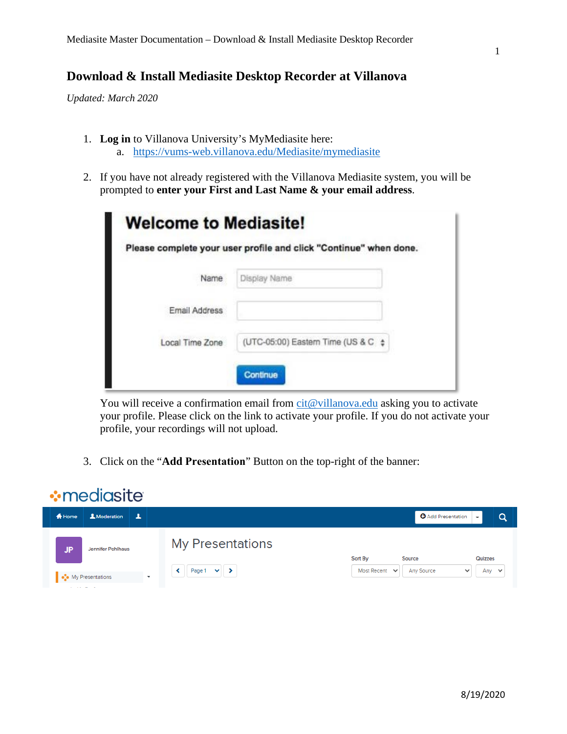## **Download & Install Mediasite Desktop Recorder at Villanova**

*Updated: March 2020* 

- 1. **Log in** to Villanova University's MyMediasite here: a. <https://vums-web.villanova.edu/Mediasite/mymediasite>
- 2. If you have not already registered with the Villanova Mediasite system, you will be prompted to **enter your First and Last Name & your email address**.

|                 | Please complete your user profile and click "Continue" when done. |
|-----------------|-------------------------------------------------------------------|
| Name            | Display Name                                                      |
| Email Address   |                                                                   |
| Local Time Zone | (UTC-05:00) Eastern Time (US & C $\div$                           |

You will receive a confirmation email from [cit@villanova.edu](mailto:cit@villanova.edu) asking you to activate your profile. Please click on the link to activate your profile. If you do not activate your profile, your recordings will not upload.

3. Click on the "**Add Presentation**" Button on the top-right of the banner:

## **:** mediasite

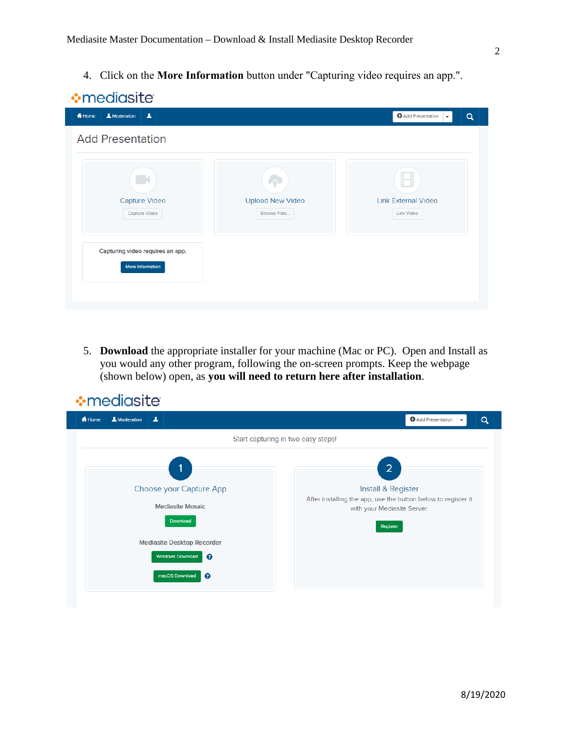4. Click on the **More Information** button under "Capturing video requires an app.".

| <del>n</del> Home<br>$\Delta$<br>& Moderation               |                                              | <b>O</b> Add Presentation<br>$\alpha$<br>$\overline{\phantom{a}}$ |
|-------------------------------------------------------------|----------------------------------------------|-------------------------------------------------------------------|
| <b>Add Presentation</b>                                     |                                              |                                                                   |
| $\mathbb{R}$<br><b>Capture Video</b><br>Capture Video       | ⌒<br><b>Upload New Video</b><br>Browse Files | H<br><b>Link External Video</b><br>Link Video                     |
| Capturing video requires an app.<br><b>More Information</b> |                                              |                                                                   |

5. **Download** the appropriate installer for your machine (Mac or PC). Open and Install as you would any other program, following the on-screen prompts. Keep the webpage (shown below) open, as **you will need to return here after installation**.

| <b>:</b> mediasite                                                                                                                                              |                                                                                                                                                  |
|-----------------------------------------------------------------------------------------------------------------------------------------------------------------|--------------------------------------------------------------------------------------------------------------------------------------------------|
| <b>A</b> Home<br>& Moderation<br>$\blacktriangle$                                                                                                               | <b>O</b> Add Presentation<br>Q                                                                                                                   |
|                                                                                                                                                                 | Start capturing in two easy steps!                                                                                                               |
| 1<br>Choose your Capture App<br><b>Mediasite Mosaic</b><br>Download<br><b>Mediasite Desktop Recorder</b><br><b>Windows Download</b><br>ℯ<br>macOS Download<br>ℯ | $\overline{2}$<br>Install & Register<br>After installing the app, use the button below to register it<br>with your Mediasite Server.<br>Register |